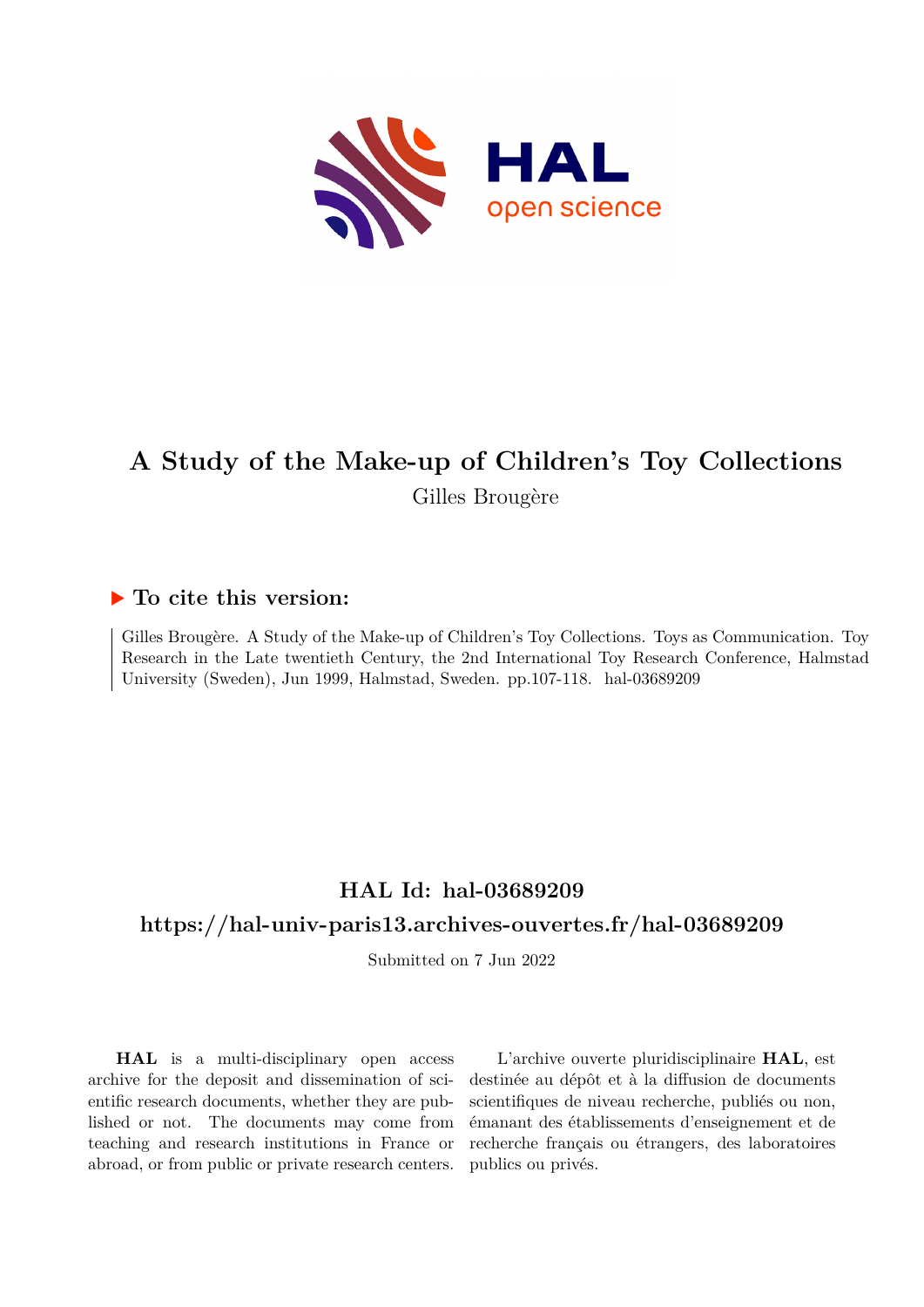

# **A Study of the Make-up of Children's Toy Collections** Gilles Brougère

## **To cite this version:**

Gilles Brougère. A Study of the Make-up of Children's Toy Collections. Toys as Communication. Toy Research in the Late twentieth Century, the 2nd International Toy Research Conference, Halmstad University (Sweden), Jun 1999, Halmstad, Sweden. pp.107-118. hal-03689209

## **HAL Id: hal-03689209**

## **<https://hal-univ-paris13.archives-ouvertes.fr/hal-03689209>**

Submitted on 7 Jun 2022

**HAL** is a multi-disciplinary open access archive for the deposit and dissemination of scientific research documents, whether they are published or not. The documents may come from teaching and research institutions in France or abroad, or from public or private research centers.

L'archive ouverte pluridisciplinaire **HAL**, est destinée au dépôt et à la diffusion de documents scientifiques de niveau recherche, publiés ou non, émanant des établissements d'enseignement et de recherche français ou étrangers, des laboratoires publics ou privés.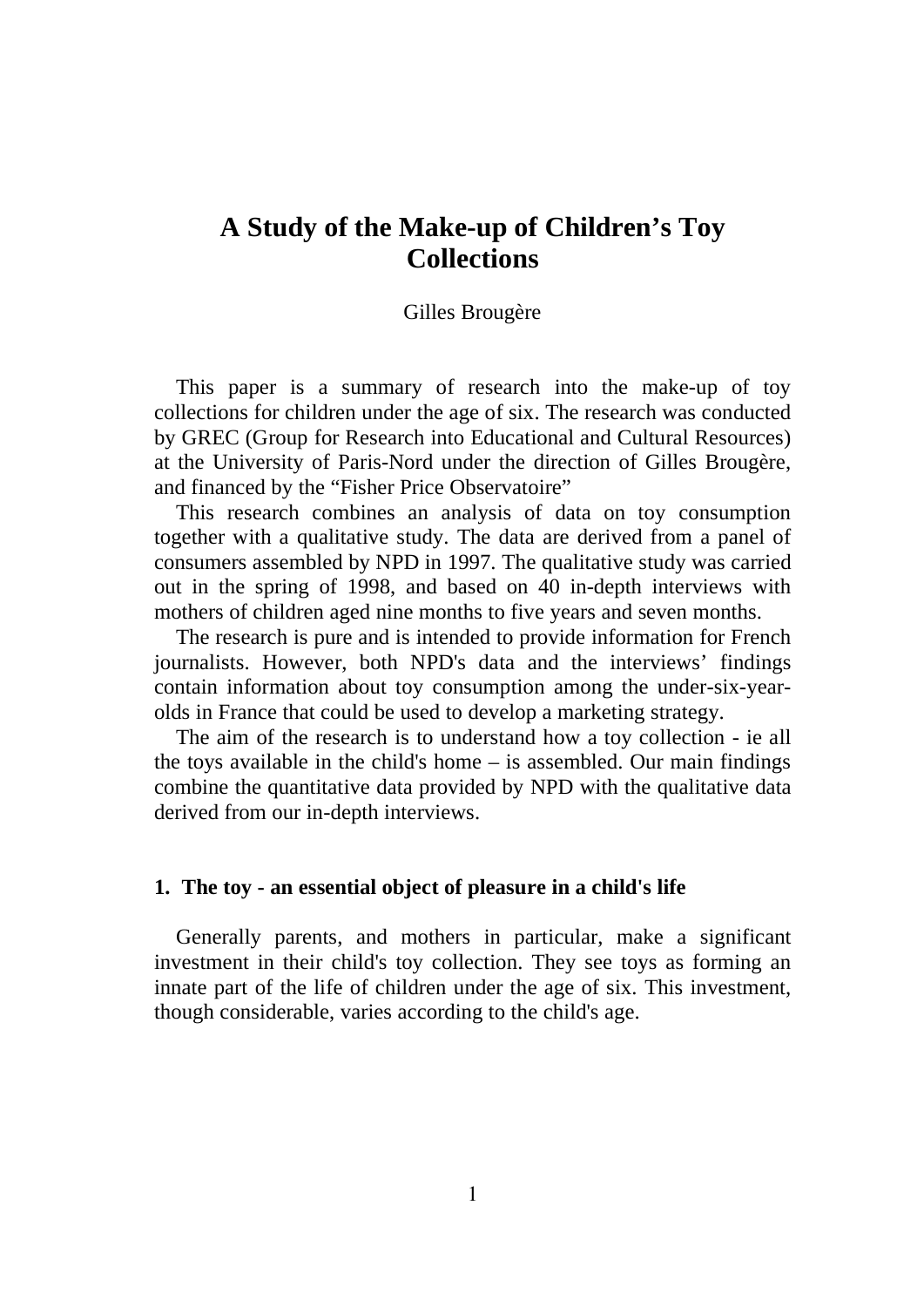## **A Study of the Make-up of Children's Toy Collections**

### Gilles Brougère

This paper is a summary of research into the make-up of toy collections for children under the age of six. The research was conducted by GREC (Group for Research into Educational and Cultural Resources) at the University of Paris-Nord under the direction of Gilles Brougère, and financed by the "Fisher Price Observatoire"

This research combines an analysis of data on toy consumption together with a qualitative study. The data are derived from a panel of consumers assembled by NPD in 1997. The qualitative study was carried out in the spring of 1998, and based on 40 in-depth interviews with mothers of children aged nine months to five years and seven months.

The research is pure and is intended to provide information for French journalists. However, both NPD's data and the interviews' findings contain information about toy consumption among the under-six-yearolds in France that could be used to develop a marketing strategy.

The aim of the research is to understand how a toy collection - ie all the toys available in the child's home – is assembled. Our main findings combine the quantitative data provided by NPD with the qualitative data derived from our in-depth interviews.

#### **1. The toy - an essential object of pleasure in a child's life**

Generally parents, and mothers in particular, make a significant investment in their child's toy collection. They see toys as forming an innate part of the life of children under the age of six. This investment, though considerable, varies according to the child's age.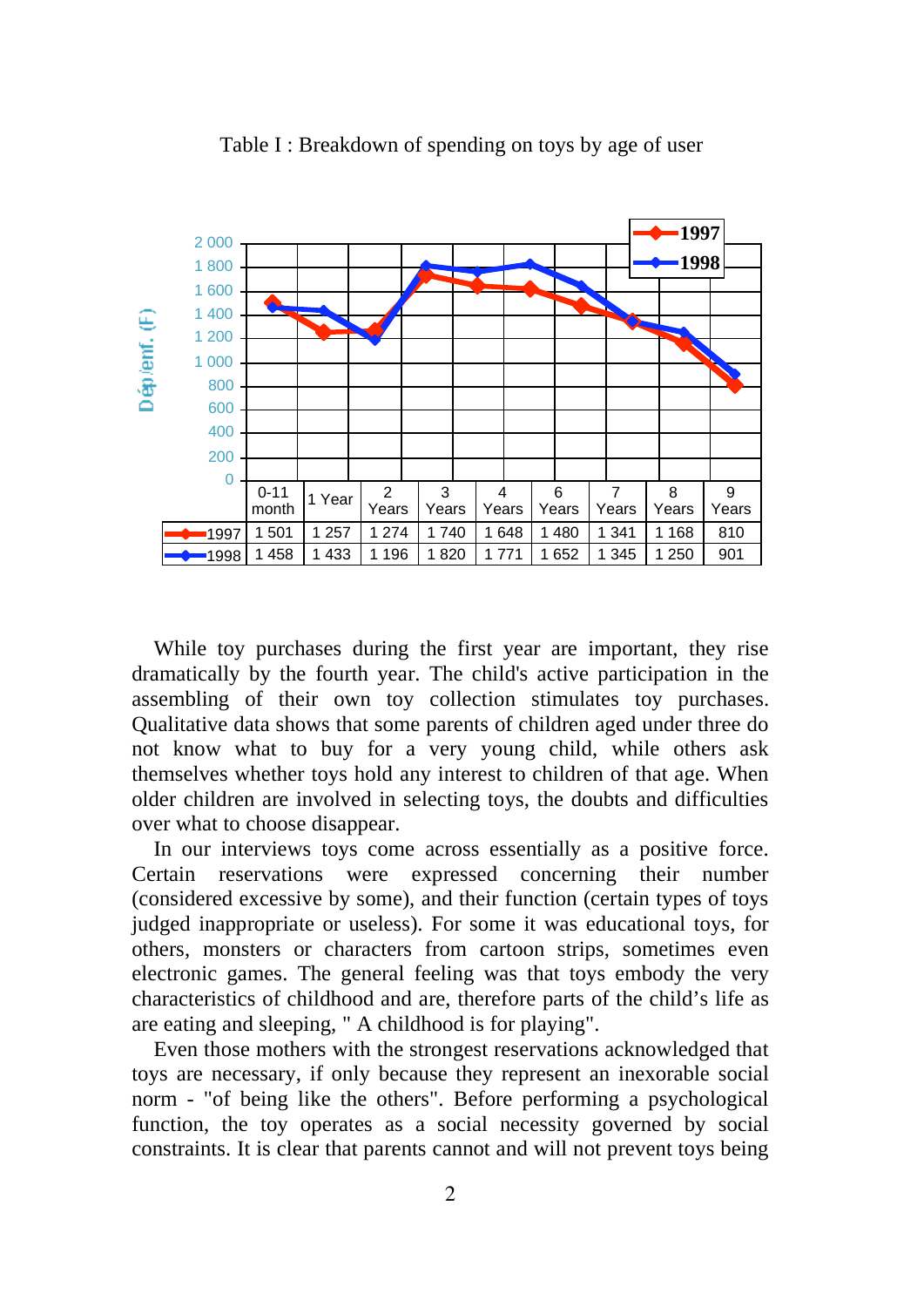

Table I : Breakdown of spending on toys by age of user

While toy purchases during the first year are important, they rise dramatically by the fourth year. The child's active participation in the assembling of their own toy collection stimulates toy purchases. Qualitative data shows that some parents of children aged under three do not know what to buy for a very young child, while others ask themselves whether toys hold any interest to children of that age. When older children are involved in selecting toys, the doubts and difficulties over what to choose disappear.

In our interviews toys come across essentially as a positive force. Certain reservations were expressed concerning their number (considered excessive by some), and their function (certain types of toys judged inappropriate or useless). For some it was educational toys, for others, monsters or characters from cartoon strips, sometimes even electronic games. The general feeling was that toys embody the very characteristics of childhood and are, therefore parts of the child's life as are eating and sleeping, " A childhood is for playing".

Even those mothers with the strongest reservations acknowledged that toys are necessary, if only because they represent an inexorable social norm - "of being like the others". Before performing a psychological function, the toy operates as a social necessity governed by social constraints. It is clear that parents cannot and will not prevent toys being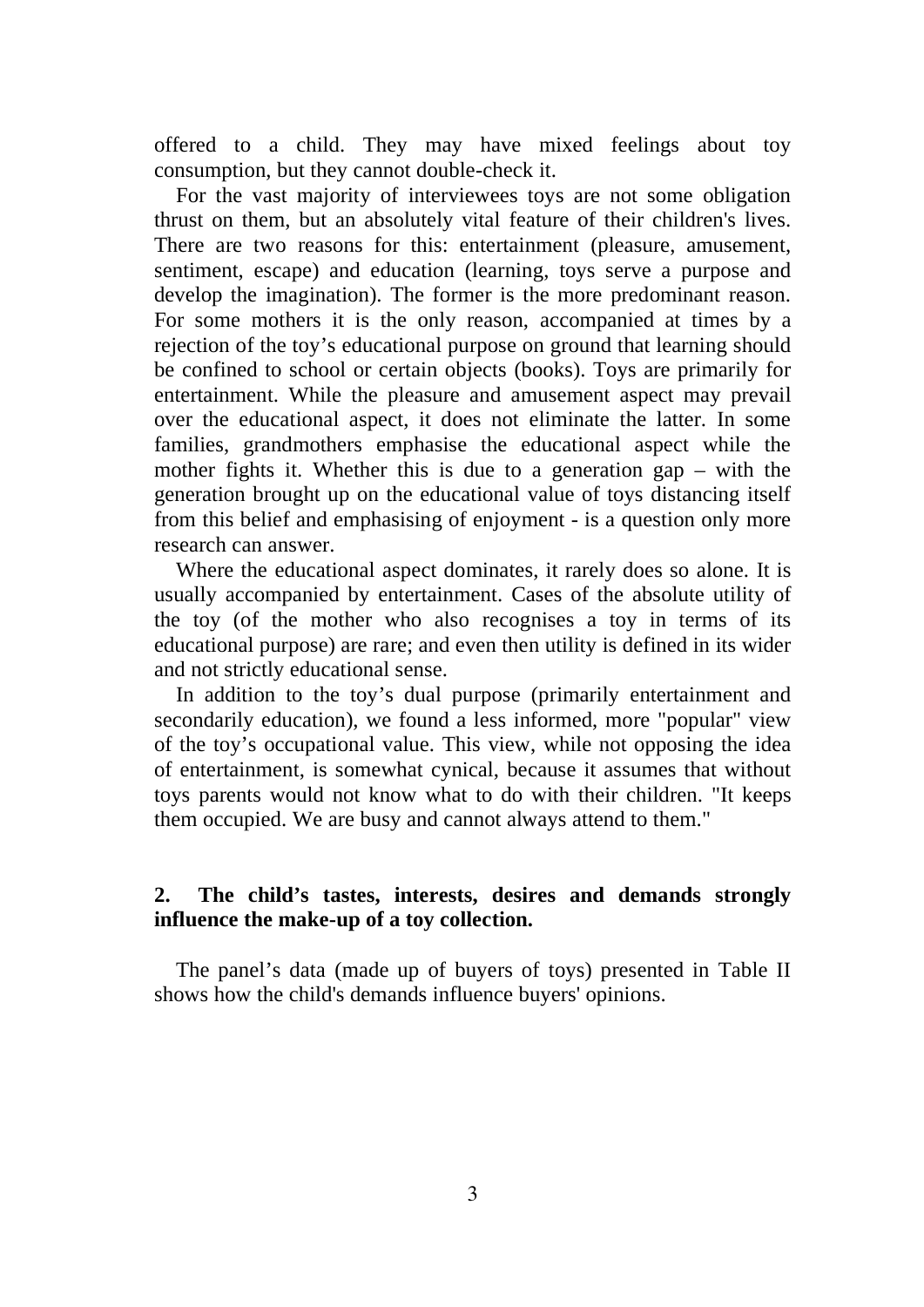offered to a child. They may have mixed feelings about toy consumption, but they cannot double-check it.

For the vast majority of interviewees toys are not some obligation thrust on them, but an absolutely vital feature of their children's lives. There are two reasons for this: entertainment (pleasure, amusement, sentiment, escape) and education (learning, toys serve a purpose and develop the imagination). The former is the more predominant reason. For some mothers it is the only reason, accompanied at times by a rejection of the toy's educational purpose on ground that learning should be confined to school or certain objects (books). Toys are primarily for entertainment. While the pleasure and amusement aspect may prevail over the educational aspect, it does not eliminate the latter. In some families, grandmothers emphasise the educational aspect while the mother fights it. Whether this is due to a generation gap – with the generation brought up on the educational value of toys distancing itself from this belief and emphasising of enjoyment - is a question only more research can answer.

Where the educational aspect dominates, it rarely does so alone. It is usually accompanied by entertainment. Cases of the absolute utility of the toy (of the mother who also recognises a toy in terms of its educational purpose) are rare; and even then utility is defined in its wider and not strictly educational sense.

In addition to the toy's dual purpose (primarily entertainment and secondarily education), we found a less informed, more "popular" view of the toy's occupational value. This view, while not opposing the idea of entertainment, is somewhat cynical, because it assumes that without toys parents would not know what to do with their children. "It keeps them occupied. We are busy and cannot always attend to them."

## **2. The child's tastes, interests, desires and demands strongly influence the make-up of a toy collection.**

The panel's data (made up of buyers of toys) presented in Table II shows how the child's demands influence buyers' opinions.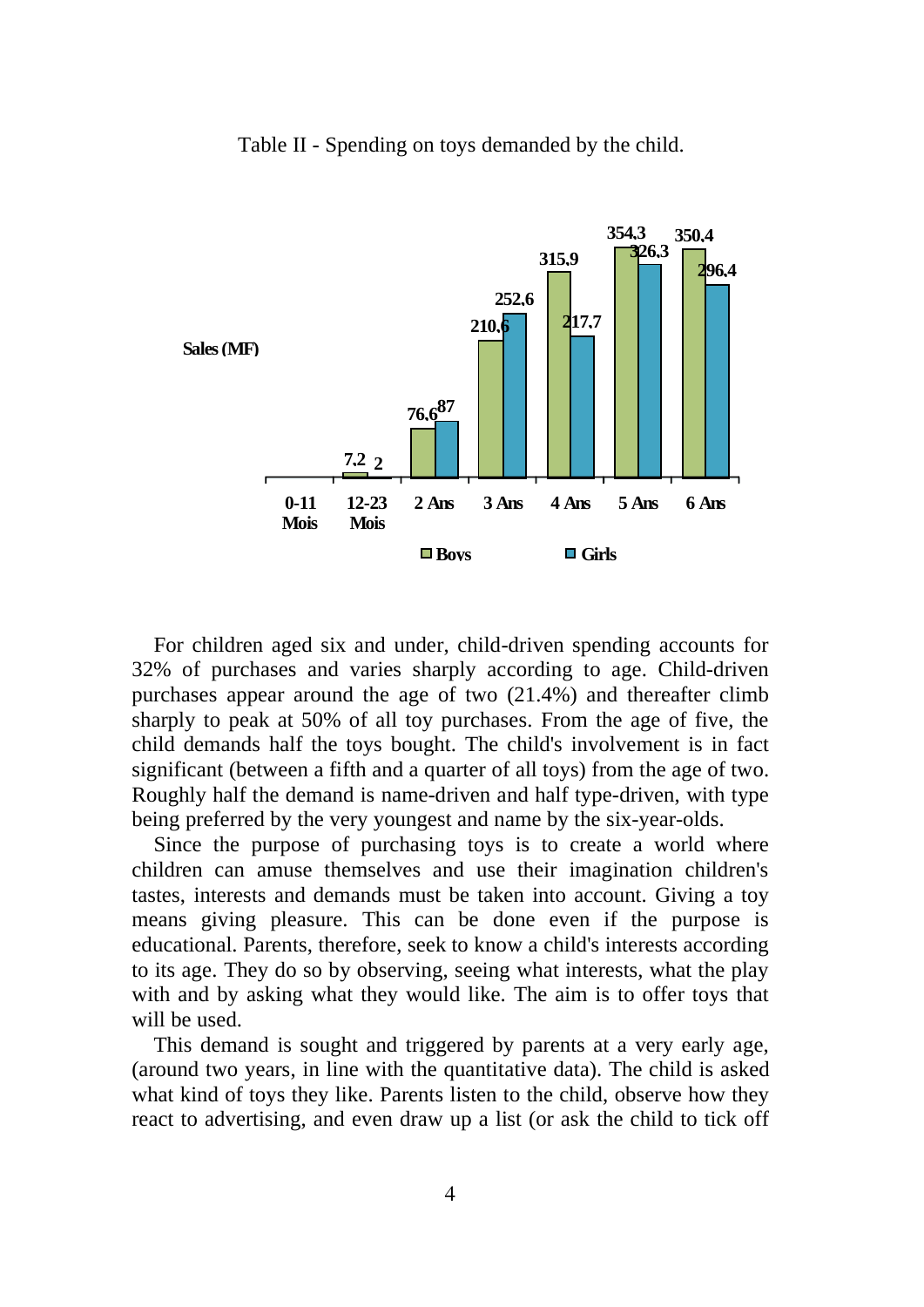Table II - Spending on toys demanded by the child.



For children aged six and under, child-driven spending accounts for 32% of purchases and varies sharply according to age. Child-driven purchases appear around the age of two (21.4%) and thereafter climb sharply to peak at 50% of all toy purchases. From the age of five, the child demands half the toys bought. The child's involvement is in fact significant (between a fifth and a quarter of all toys) from the age of two. Roughly half the demand is name-driven and half type-driven, with type being preferred by the very youngest and name by the six-year-olds.

Since the purpose of purchasing toys is to create a world where children can amuse themselves and use their imagination children's tastes, interests and demands must be taken into account. Giving a toy means giving pleasure. This can be done even if the purpose is educational. Parents, therefore, seek to know a child's interests according to its age. They do so by observing, seeing what interests, what the play with and by asking what they would like. The aim is to offer toys that will be used.

This demand is sought and triggered by parents at a very early age, (around two years, in line with the quantitative data). The child is asked what kind of toys they like. Parents listen to the child, observe how they react to advertising, and even draw up a list (or ask the child to tick off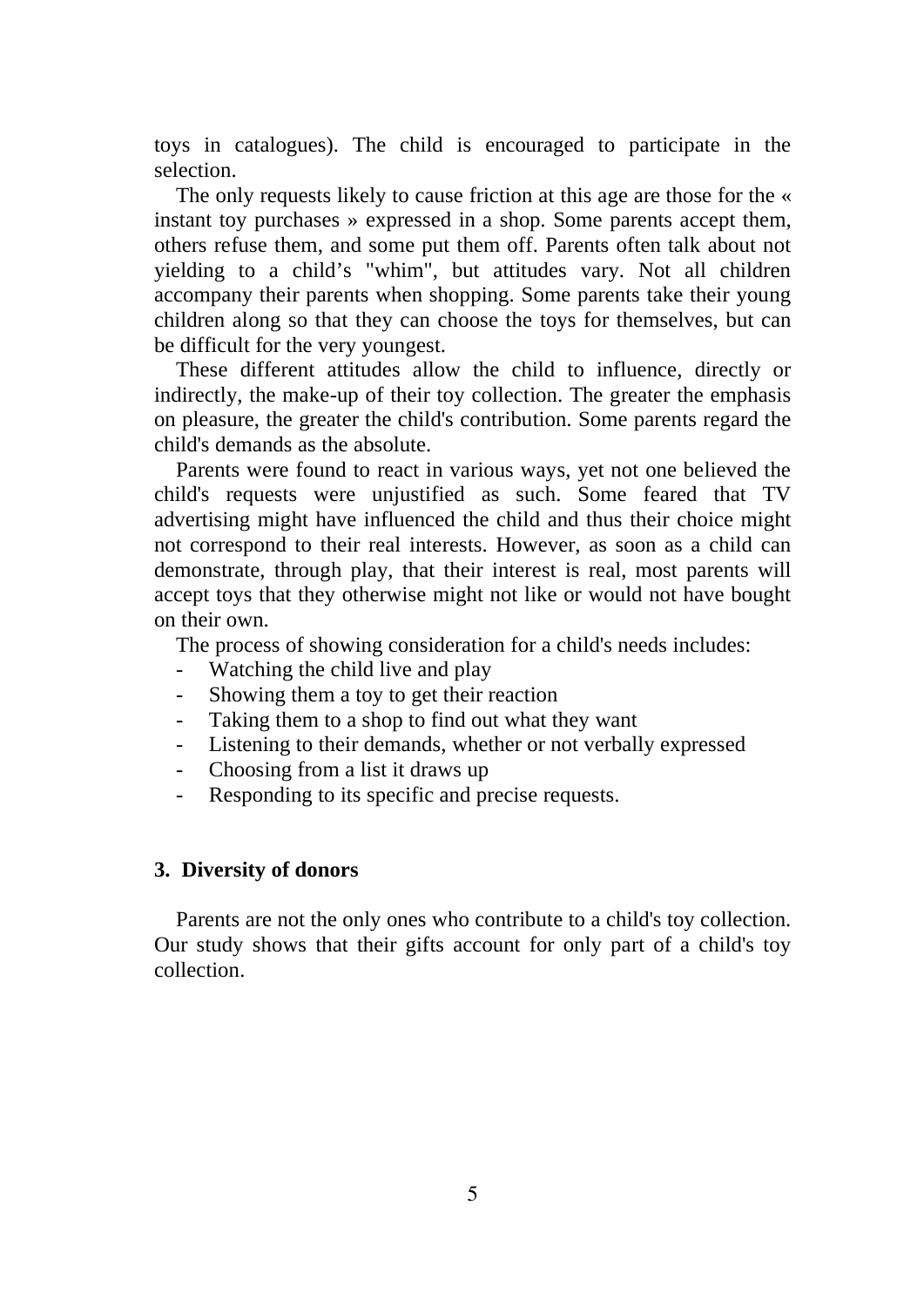toys in catalogues). The child is encouraged to participate in the selection.

The only requests likely to cause friction at this age are those for the « instant toy purchases » expressed in a shop. Some parents accept them, others refuse them, and some put them off. Parents often talk about not yielding to a child's "whim", but attitudes vary. Not all children accompany their parents when shopping. Some parents take their young children along so that they can choose the toys for themselves, but can be difficult for the very youngest.

These different attitudes allow the child to influence, directly or indirectly, the make-up of their toy collection. The greater the emphasis on pleasure, the greater the child's contribution. Some parents regard the child's demands as the absolute.

Parents were found to react in various ways, yet not one believed the child's requests were unjustified as such. Some feared that TV advertising might have influenced the child and thus their choice might not correspond to their real interests. However, as soon as a child can demonstrate, through play, that their interest is real, most parents will accept toys that they otherwise might not like or would not have bought on their own.

The process of showing consideration for a child's needs includes:

- Watching the child live and play
- Showing them a toy to get their reaction
- Taking them to a shop to find out what they want
- Listening to their demands, whether or not verbally expressed
- Choosing from a list it draws up
- Responding to its specific and precise requests.

### **3. Diversity of donors**

Parents are not the only ones who contribute to a child's toy collection. Our study shows that their gifts account for only part of a child's toy collection.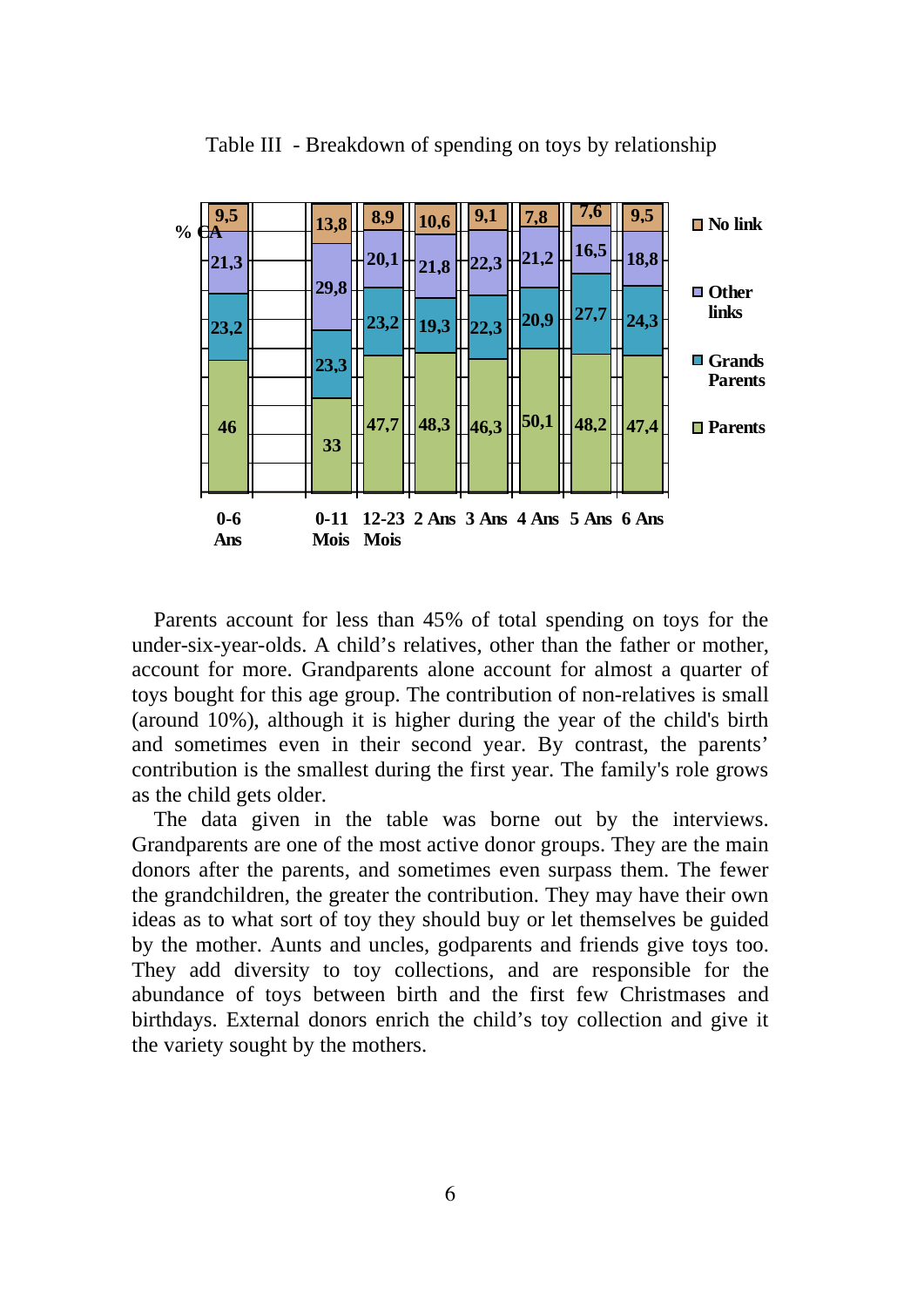

Table III - Breakdown of spending on toys by relationship

Parents account for less than 45% of total spending on toys for the under-six-year-olds. A child's relatives, other than the father or mother, account for more. Grandparents alone account for almost a quarter of toys bought for this age group. The contribution of non-relatives is small (around 10%), although it is higher during the year of the child's birth and sometimes even in their second year. By contrast, the parents' contribution is the smallest during the first year. The family's role grows as the child gets older.

The data given in the table was borne out by the interviews. Grandparents are one of the most active donor groups. They are the main donors after the parents, and sometimes even surpass them. The fewer the grandchildren, the greater the contribution. They may have their own ideas as to what sort of toy they should buy or let themselves be guided by the mother. Aunts and uncles, godparents and friends give toys too. They add diversity to toy collections, and are responsible for the abundance of toys between birth and the first few Christmases and birthdays. External donors enrich the child's toy collection and give it the variety sought by the mothers.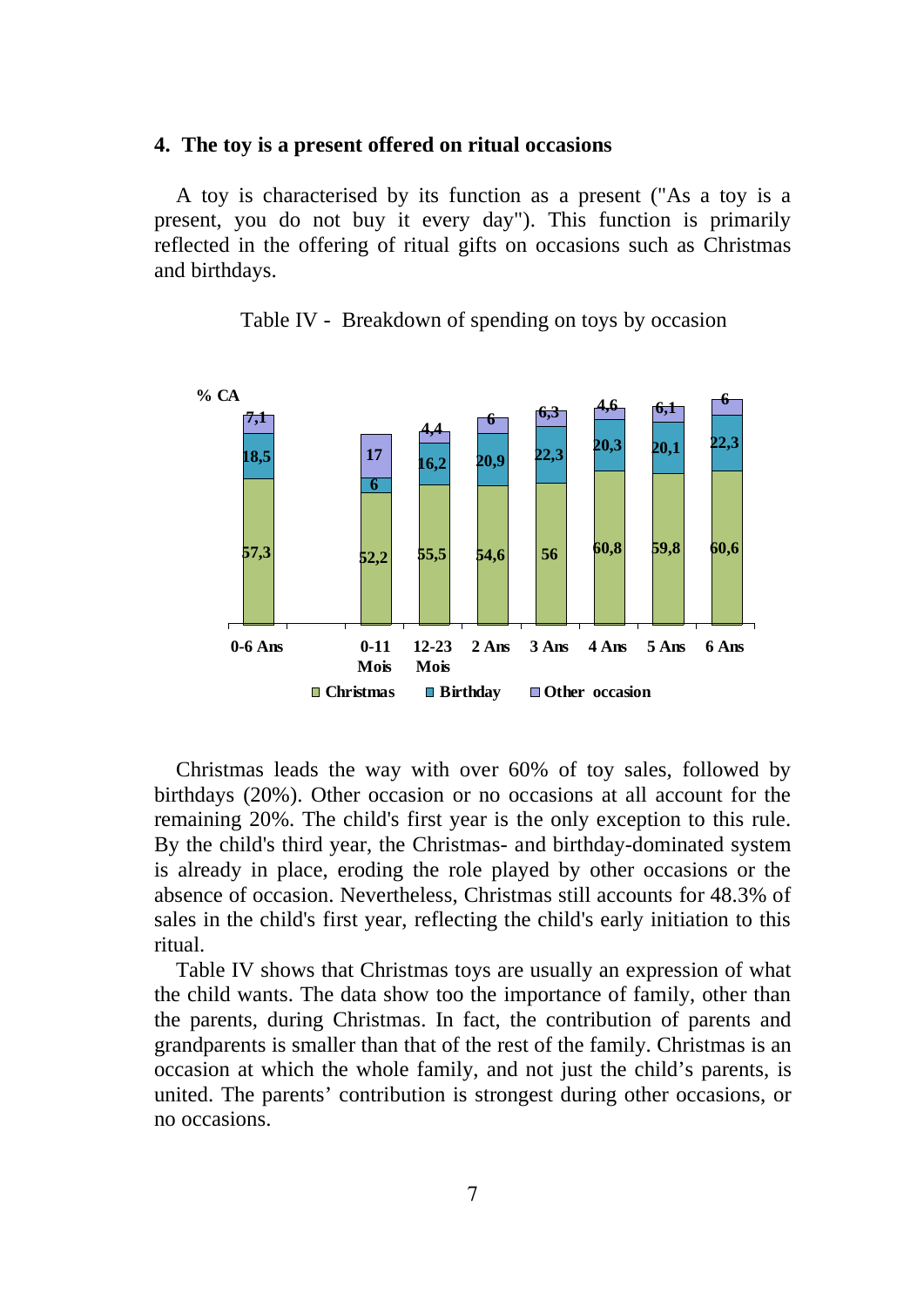## **4. The toy is a present offered on ritual occasions**

A toy is characterised by its function as a present ("As a toy is a present, you do not buy it every day"). This function is primarily reflected in the offering of ritual gifts on occasions such as Christmas and birthdays.



Table IV - Breakdown of spending on toys by occasion

Christmas leads the way with over 60% of toy sales, followed by birthdays (20%). Other occasion or no occasions at all account for the remaining 20%. The child's first year is the only exception to this rule. By the child's third year, the Christmas- and birthday-dominated system is already in place, eroding the role played by other occasions or the absence of occasion. Nevertheless, Christmas still accounts for 48.3% of sales in the child's first year, reflecting the child's early initiation to this ritual.

Table IV shows that Christmas toys are usually an expression of what the child wants. The data show too the importance of family, other than the parents, during Christmas. In fact, the contribution of parents and grandparents is smaller than that of the rest of the family. Christmas is an occasion at which the whole family, and not just the child's parents, is united. The parents' contribution is strongest during other occasions, or no occasions.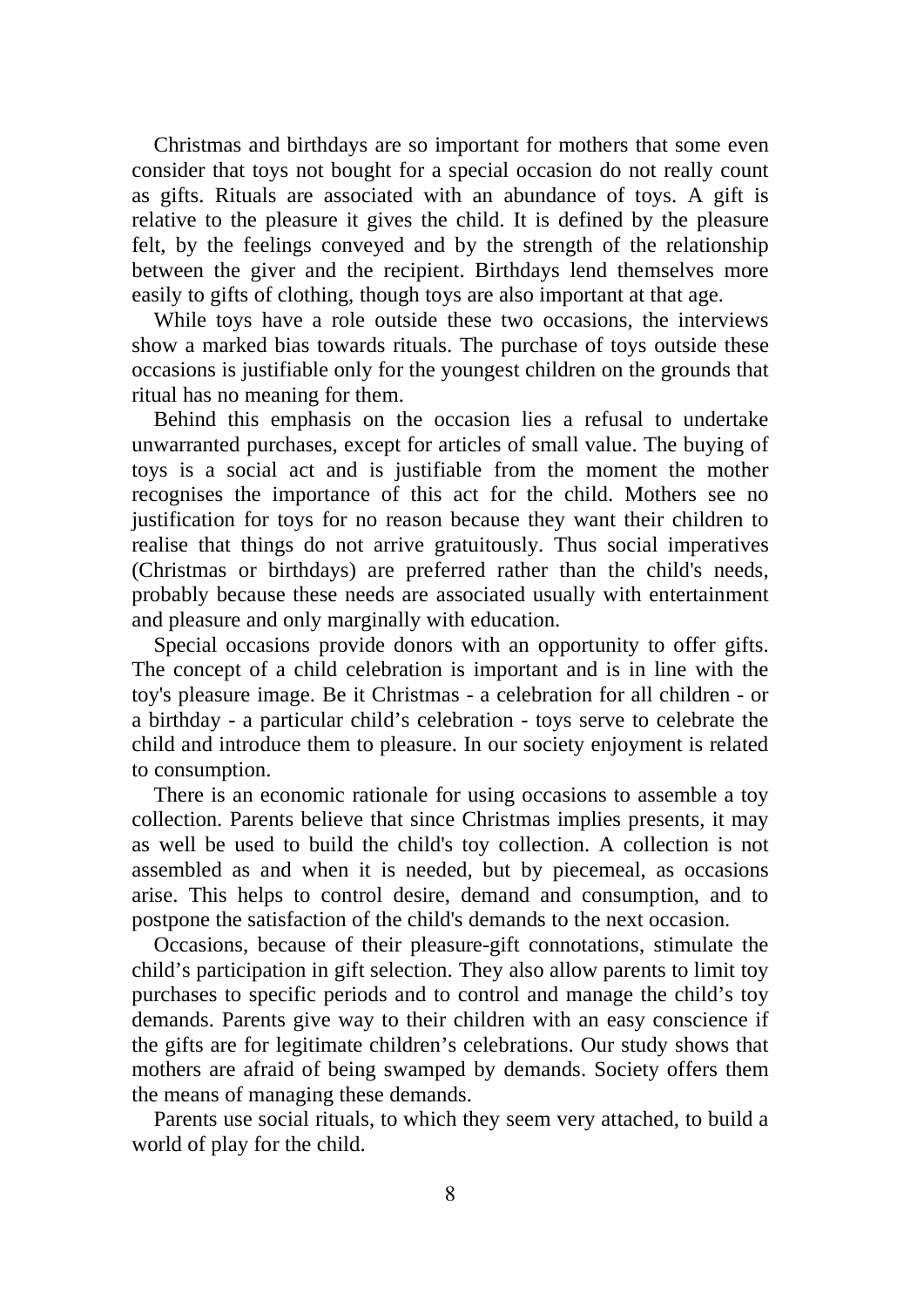Christmas and birthdays are so important for mothers that some even consider that toys not bought for a special occasion do not really count as gifts. Rituals are associated with an abundance of toys. A gift is relative to the pleasure it gives the child. It is defined by the pleasure felt, by the feelings conveyed and by the strength of the relationship between the giver and the recipient. Birthdays lend themselves more easily to gifts of clothing, though toys are also important at that age.

While toys have a role outside these two occasions, the interviews show a marked bias towards rituals. The purchase of toys outside these occasions is justifiable only for the youngest children on the grounds that ritual has no meaning for them.

Behind this emphasis on the occasion lies a refusal to undertake unwarranted purchases, except for articles of small value. The buying of toys is a social act and is justifiable from the moment the mother recognises the importance of this act for the child. Mothers see no justification for toys for no reason because they want their children to realise that things do not arrive gratuitously. Thus social imperatives (Christmas or birthdays) are preferred rather than the child's needs, probably because these needs are associated usually with entertainment and pleasure and only marginally with education.

Special occasions provide donors with an opportunity to offer gifts. The concept of a child celebration is important and is in line with the toy's pleasure image. Be it Christmas - a celebration for all children - or a birthday - a particular child's celebration - toys serve to celebrate the child and introduce them to pleasure. In our society enjoyment is related to consumption.

There is an economic rationale for using occasions to assemble a toy collection. Parents believe that since Christmas implies presents, it may as well be used to build the child's toy collection. A collection is not assembled as and when it is needed, but by piecemeal, as occasions arise. This helps to control desire, demand and consumption, and to postpone the satisfaction of the child's demands to the next occasion.

Occasions, because of their pleasure-gift connotations, stimulate the child's participation in gift selection. They also allow parents to limit toy purchases to specific periods and to control and manage the child's toy demands. Parents give way to their children with an easy conscience if the gifts are for legitimate children's celebrations. Our study shows that mothers are afraid of being swamped by demands. Society offers them the means of managing these demands.

Parents use social rituals, to which they seem very attached, to build a world of play for the child.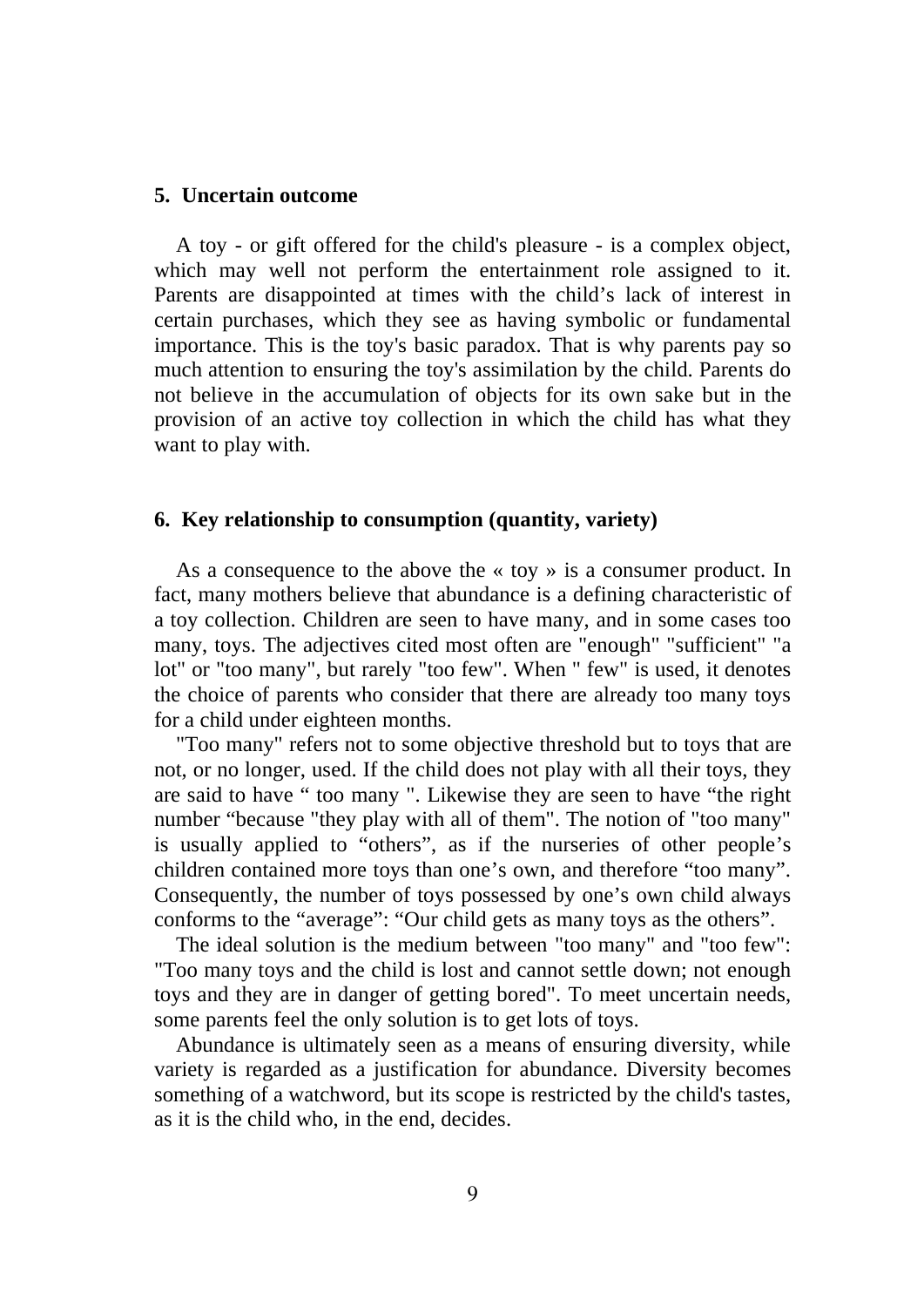## **5. Uncertain outcome**

A toy - or gift offered for the child's pleasure - is a complex object, which may well not perform the entertainment role assigned to it. Parents are disappointed at times with the child's lack of interest in certain purchases, which they see as having symbolic or fundamental importance. This is the toy's basic paradox. That is why parents pay so much attention to ensuring the toy's assimilation by the child. Parents do not believe in the accumulation of objects for its own sake but in the provision of an active toy collection in which the child has what they want to play with.

## **6. Key relationship to consumption (quantity, variety)**

As a consequence to the above the « toy » is a consumer product. In fact, many mothers believe that abundance is a defining characteristic of a toy collection. Children are seen to have many, and in some cases too many, toys. The adjectives cited most often are "enough" "sufficient" "a lot" or "too many", but rarely "too few". When " few" is used, it denotes the choice of parents who consider that there are already too many toys for a child under eighteen months.

"Too many" refers not to some objective threshold but to toys that are not, or no longer, used. If the child does not play with all their toys, they are said to have " too many ". Likewise they are seen to have "the right number "because "they play with all of them". The notion of "too many" is usually applied to "others", as if the nurseries of other people's children contained more toys than one's own, and therefore "too many". Consequently, the number of toys possessed by one's own child always conforms to the "average": "Our child gets as many toys as the others".

The ideal solution is the medium between "too many" and "too few": "Too many toys and the child is lost and cannot settle down; not enough toys and they are in danger of getting bored". To meet uncertain needs, some parents feel the only solution is to get lots of toys.

Abundance is ultimately seen as a means of ensuring diversity, while variety is regarded as a justification for abundance. Diversity becomes something of a watchword, but its scope is restricted by the child's tastes, as it is the child who, in the end, decides.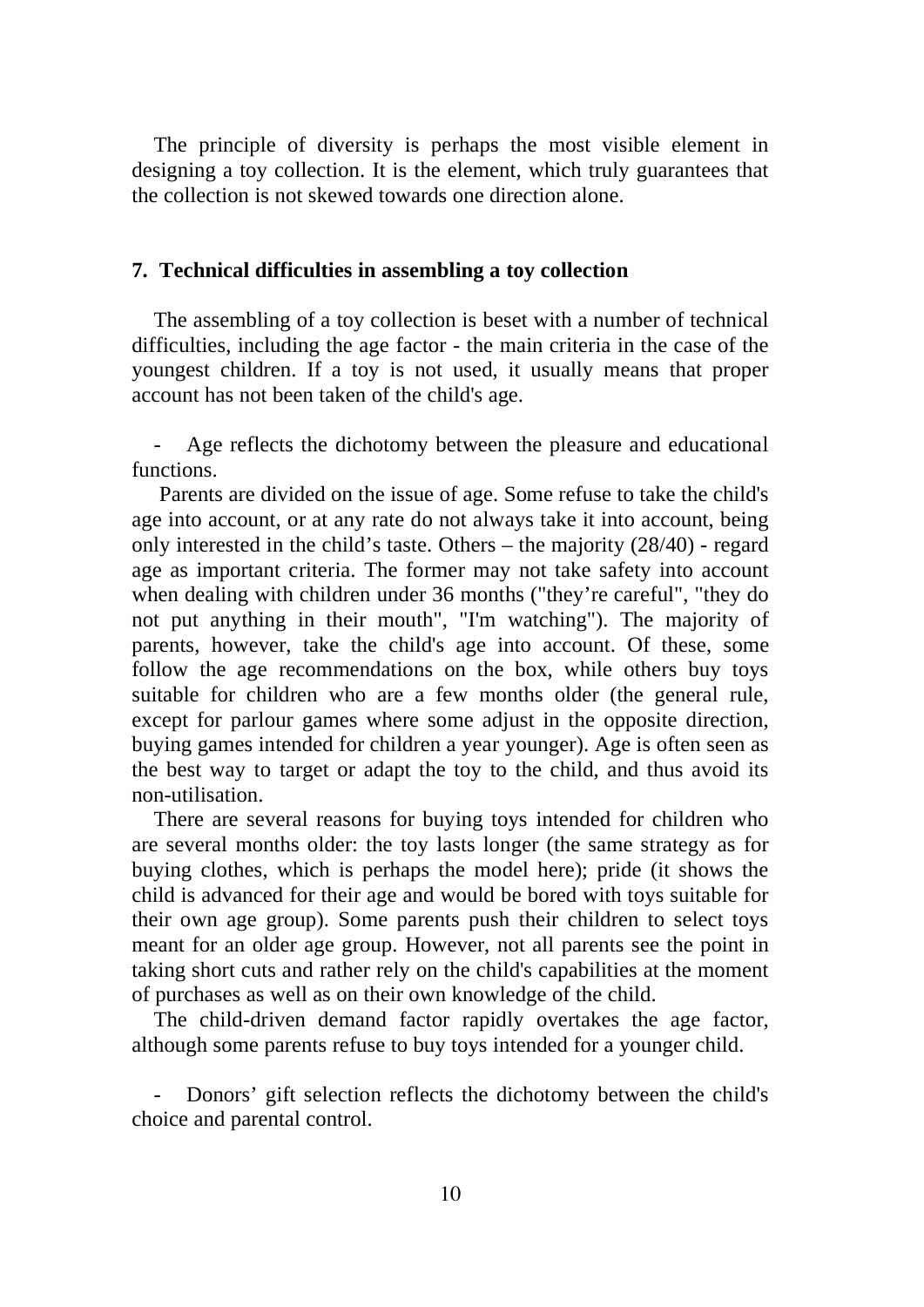The principle of diversity is perhaps the most visible element in designing a toy collection. It is the element, which truly guarantees that the collection is not skewed towards one direction alone.

### **7. Technical difficulties in assembling a toy collection**

The assembling of a toy collection is beset with a number of technical difficulties, including the age factor - the main criteria in the case of the youngest children. If a toy is not used, it usually means that proper account has not been taken of the child's age.

Age reflects the dichotomy between the pleasure and educational functions.

 Parents are divided on the issue of age. Some refuse to take the child's age into account, or at any rate do not always take it into account, being only interested in the child's taste. Others – the majority (28/40) - regard age as important criteria. The former may not take safety into account when dealing with children under 36 months ("they're careful", "they do not put anything in their mouth", "I'm watching"). The majority of parents, however, take the child's age into account. Of these, some follow the age recommendations on the box, while others buy toys suitable for children who are a few months older (the general rule, except for parlour games where some adjust in the opposite direction, buying games intended for children a year younger). Age is often seen as the best way to target or adapt the toy to the child, and thus avoid its non-utilisation.

There are several reasons for buying toys intended for children who are several months older: the toy lasts longer (the same strategy as for buying clothes, which is perhaps the model here); pride (it shows the child is advanced for their age and would be bored with toys suitable for their own age group). Some parents push their children to select toys meant for an older age group. However, not all parents see the point in taking short cuts and rather rely on the child's capabilities at the moment of purchases as well as on their own knowledge of the child.

The child-driven demand factor rapidly overtakes the age factor, although some parents refuse to buy toys intended for a younger child.

Donors' gift selection reflects the dichotomy between the child's choice and parental control.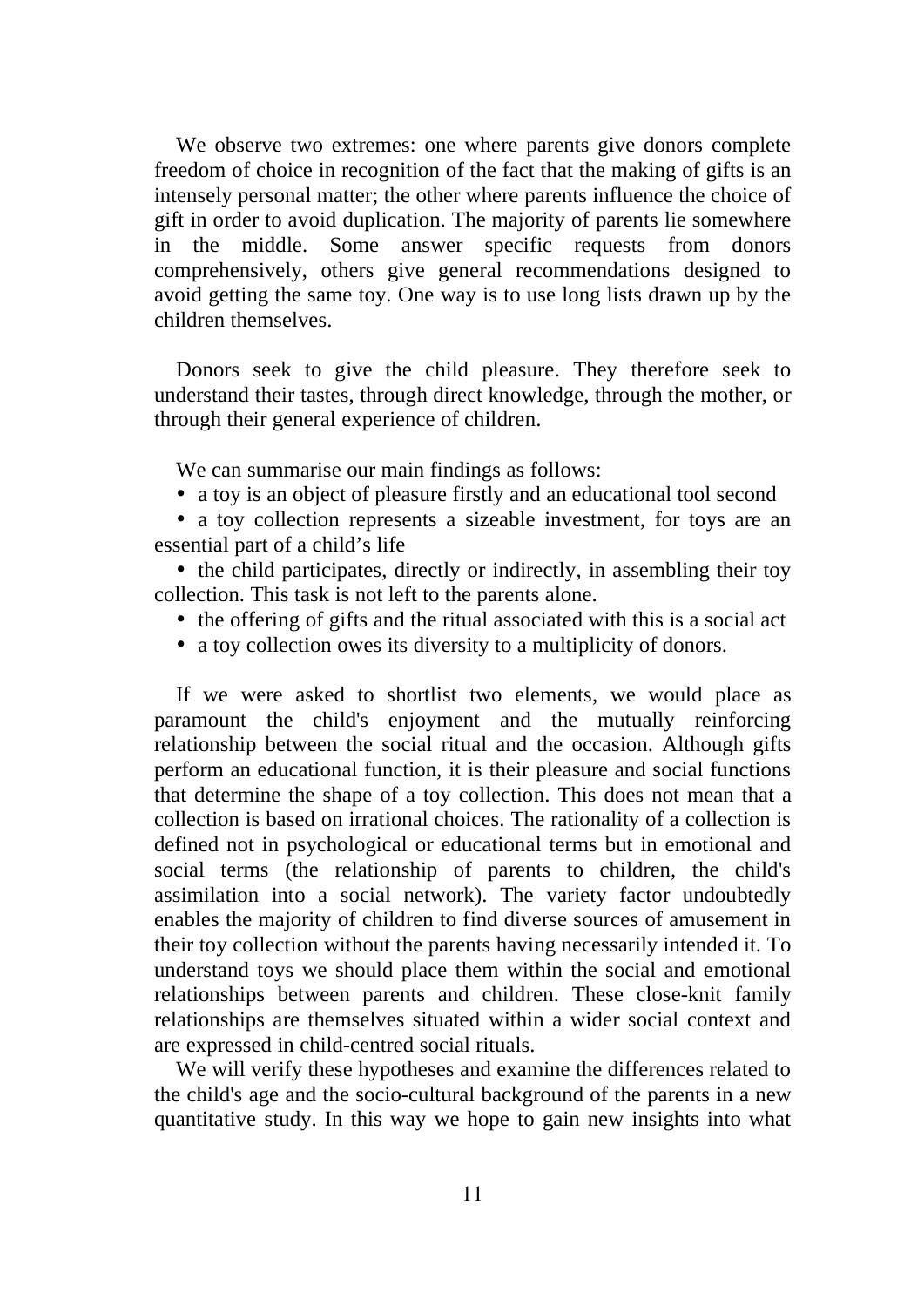We observe two extremes: one where parents give donors complete freedom of choice in recognition of the fact that the making of gifts is an intensely personal matter; the other where parents influence the choice of gift in order to avoid duplication. The majority of parents lie somewhere in the middle. Some answer specific requests from donors comprehensively, others give general recommendations designed to avoid getting the same toy. One way is to use long lists drawn up by the children themselves.

Donors seek to give the child pleasure. They therefore seek to understand their tastes, through direct knowledge, through the mother, or through their general experience of children.

We can summarise our main findings as follows:

• a toy is an object of pleasure firstly and an educational tool second

• a toy collection represents a sizeable investment, for toys are an essential part of a child's life

• the child participates, directly or indirectly, in assembling their toy collection. This task is not left to the parents alone.

- the offering of gifts and the ritual associated with this is a social act
- a toy collection owes its diversity to a multiplicity of donors.

If we were asked to shortlist two elements, we would place as paramount the child's enjoyment and the mutually reinforcing relationship between the social ritual and the occasion. Although gifts perform an educational function, it is their pleasure and social functions that determine the shape of a toy collection. This does not mean that a collection is based on irrational choices. The rationality of a collection is defined not in psychological or educational terms but in emotional and social terms (the relationship of parents to children, the child's assimilation into a social network). The variety factor undoubtedly enables the majority of children to find diverse sources of amusement in their toy collection without the parents having necessarily intended it. To understand toys we should place them within the social and emotional relationships between parents and children. These close-knit family relationships are themselves situated within a wider social context and are expressed in child-centred social rituals.

We will verify these hypotheses and examine the differences related to the child's age and the socio-cultural background of the parents in a new quantitative study. In this way we hope to gain new insights into what